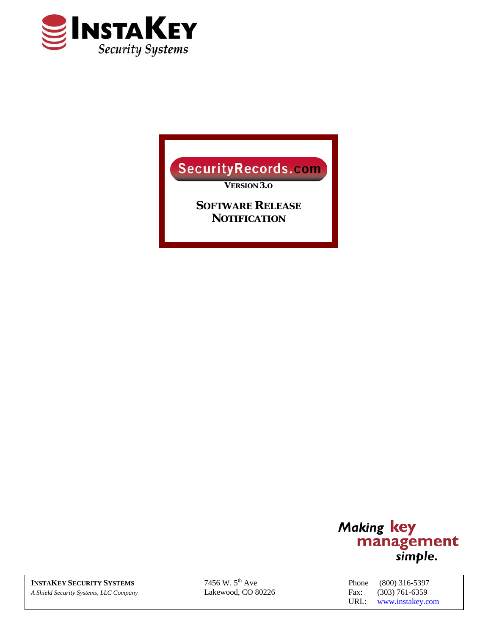

# Security Records.com

*VERSION 3.O*

*SOFTWARE RELEASE NOTIFICATION*



**INSTAKEY SECURITY SYSTEMS** 7456 W. 5<sup>th</sup> Ave Phone (800) 316-5397 *A Shield Security Systems, LLC Company* Lakewood, CO 80226 Fax: (303) 761-6359

URL: www.instakey.com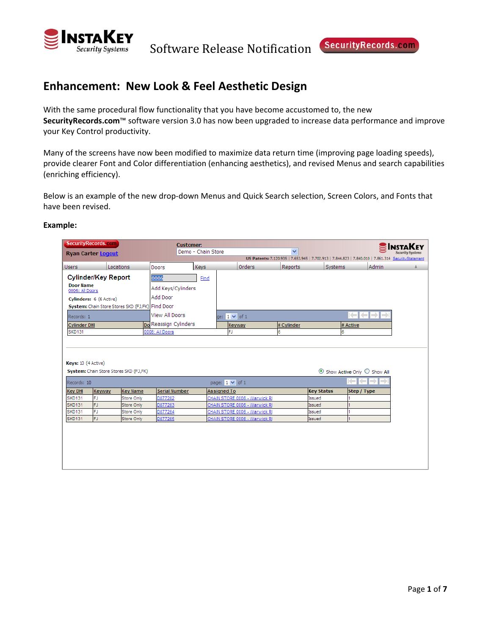

### **Enhancement: New Look & Feel Aesthetic Design**

With the same procedural flow functionality that you have become accustomed to, the new **SecurityRecords.com**™ software version 3.0 has now been upgraded to increase data performance and improve your Key Control productivity.

Many of the screens have now been modified to maximize data return time (improving page loading speeds), provide clearer Font and Color differentiation (enhancing aesthetics), and revised Menus and search capabilities (enriching efficiency).

Below is an example of the new drop-down Menus and Quick Search selection, Screen Colors, and Fonts that have been revised.

| <b>SecurityRecords.com</b> |                         |                                                  | <b>Customer:</b>             |                    |                               |              |                   |                                              | $\mathbf{S}$ Instakey                                                                                |
|----------------------------|-------------------------|--------------------------------------------------|------------------------------|--------------------|-------------------------------|--------------|-------------------|----------------------------------------------|------------------------------------------------------------------------------------------------------|
| <b>Ryan Carter Logout</b>  |                         |                                                  |                              | Demo - Chain Store |                               | $\checkmark$ |                   |                                              |                                                                                                      |
|                            |                         |                                                  |                              |                    |                               |              |                   |                                              | US Patents: 7,120,935   7,653,945   7,702,913   7,844,823   7,840,010   7,861,314 Security Statement |
| <b>Users</b>               |                         | Locations                                        | Doors                        | Keys               | Orders                        | Reports      | Systems           | Admin                                        |                                                                                                      |
| <b>Cylinder/Key Report</b> |                         |                                                  | 0006                         | Find               |                               |              |                   |                                              |                                                                                                      |
| <b>Door Name</b>           |                         |                                                  | Add Keys/Cylinders           |                    |                               |              |                   |                                              |                                                                                                      |
| 0006: All Doors            |                         |                                                  | Add Door                     |                    |                               |              |                   |                                              |                                                                                                      |
|                            | Cylinders: 6 (6 Active) |                                                  |                              |                    |                               |              |                   |                                              |                                                                                                      |
|                            |                         | System: Chain Store Stores SKD (FJ,FK) Find Door |                              |                    |                               |              |                   |                                              |                                                                                                      |
| Records: 1                 |                         |                                                  | View All Doors               |                    | $ae: 1 \vee of 1$             |              |                   | ▐⋲▌⋲▌⇒▌⇒                                     |                                                                                                      |
| <b>Cylinder DHI</b>        |                         |                                                  | <b>Do</b> Reassign Cylinders |                    | Keyway                        | # Cylinder   |                   | # Active                                     |                                                                                                      |
| SKD131                     |                         |                                                  | 0006: All Doors              |                    | FJ                            | 6            |                   | 6                                            |                                                                                                      |
|                            |                         |                                                  |                              |                    |                               |              |                   |                                              |                                                                                                      |
|                            |                         |                                                  |                              |                    |                               |              |                   |                                              |                                                                                                      |
|                            |                         |                                                  |                              |                    |                               |              |                   |                                              |                                                                                                      |
| Keys: 10 (4 Active)        |                         |                                                  |                              |                    |                               |              |                   |                                              |                                                                                                      |
|                            |                         | System: Chain Store Stores SKD (FJ,FK)           |                              |                    |                               |              |                   | $\odot$ Show Active Only $\bigcirc$ Show All |                                                                                                      |
| Records: 10                |                         |                                                  |                              |                    | page: $1 \vee$ of 1           |              |                   | <b>Kimi</b><br>⇔                             |                                                                                                      |
| <b>Key DHI</b>             | Keyway                  | <b>Key Name</b>                                  | <b>Serial Number</b>         | <b>Assigned To</b> |                               |              | <b>Key Status</b> | Step / Type                                  |                                                                                                      |
| SKD131                     | lFJ.                    | Store Only                                       | D877262                      |                    | CHAIN STORE 0006 - Warwick RI |              | Issued            |                                              |                                                                                                      |
| SKD131                     | <b>FJ</b>               | Store Only                                       | D877263                      |                    | CHAIN STORE 0006 - Warwick RI |              | Issued            |                                              |                                                                                                      |
| <b>SKD131</b>              | FJ                      | Store Only                                       | D877264                      |                    | CHAIN STORE 0006 - Warwick RI |              | Issued            |                                              |                                                                                                      |
| <b>SKD131</b>              | FJ                      | Store Only                                       | D877265                      |                    | CHAIN STORE 0006 - Warwick RI |              | Issued            |                                              |                                                                                                      |
|                            |                         |                                                  |                              |                    |                               |              |                   |                                              |                                                                                                      |
|                            |                         |                                                  |                              |                    |                               |              |                   |                                              |                                                                                                      |
|                            |                         |                                                  |                              |                    |                               |              |                   |                                              |                                                                                                      |
|                            |                         |                                                  |                              |                    |                               |              |                   |                                              |                                                                                                      |
|                            |                         |                                                  |                              |                    |                               |              |                   |                                              |                                                                                                      |
|                            |                         |                                                  |                              |                    |                               |              |                   |                                              |                                                                                                      |
|                            |                         |                                                  |                              |                    |                               |              |                   |                                              |                                                                                                      |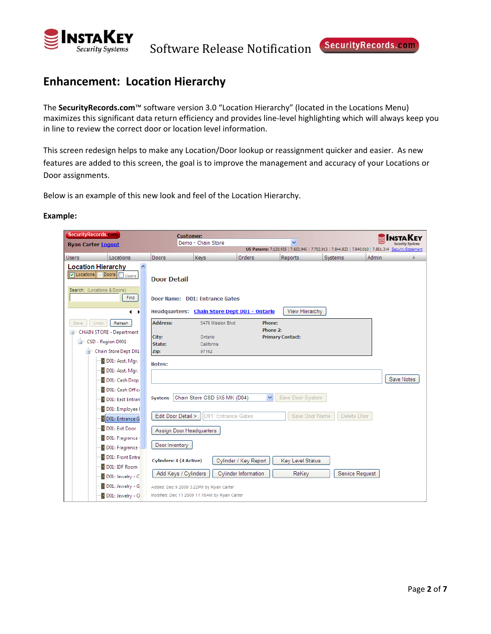

Software Release Notification Security Records.com

## **Enhancement: Location Hierarchy**

The **SecurityRecords.com**™ software version 3.0 "Location Hierarchy" (located in the Locations Menu) maximizes this significant data return efficiency and provides line‐level highlighting which will always keep you in line to review the correct door or location level information.

This screen redesign helps to make any Location/Door lookup or reassignment quicker and easier. As new features are added to this screen, the goal is to improve the management and accuracy of your Locations or Door assignments.

Below is an example of this new look and feel of the Location Hierarchy.

| SecurityRecords.com                                                 | <b>Customer:</b>                                                               |                              |                             |                         |                 |                                                                                                     |
|---------------------------------------------------------------------|--------------------------------------------------------------------------------|------------------------------|-----------------------------|-------------------------|-----------------|-----------------------------------------------------------------------------------------------------|
| <b>Ryan Carter Logout</b>                                           |                                                                                | Demo - Chain Store           |                             | v                       |                 | US Patents: 7,120,935   7,653,945   7,702,913   7,844,823   7,840,010   7,861,314 SecurityStatement |
| Locations<br><b>Users</b>                                           | Doors                                                                          | Keys                         | <b>Orders</b>               | <b>Reports</b>          | Systems         | Admin                                                                                               |
| <b>Location Hierarchy</b><br>۸<br>Doors Users<br><b>V</b> Locations | <b>Door Detail</b>                                                             |                              |                             |                         |                 |                                                                                                     |
| Search: (Locations & Doors)<br>Find                                 | Door Name: D01: Entrance Gates<br>Headquarters: Chain Store Dept D01 - Ontario |                              |                             | View Hierarchy          |                 |                                                                                                     |
| $\rightarrow$                                                       |                                                                                |                              |                             |                         |                 |                                                                                                     |
| Refresh<br>Undo<br>Save                                             | <b>Address:</b>                                                                | 5476 Mission Blvd            | Phone:<br>Phone 2:          |                         |                 |                                                                                                     |
| <b>E</b> CHAIN STORE - Department                                   | City:                                                                          | Ontario                      |                             | <b>Primary Contact:</b> |                 |                                                                                                     |
| CSD - Region D001<br>Ė.                                             | State:                                                                         | California                   |                             |                         |                 |                                                                                                     |
| - Chain Store Dept D01<br>D01: Asst. Mgr.                           | Zip:                                                                           | 97162                        |                             |                         |                 |                                                                                                     |
|                                                                     | Notes:                                                                         |                              |                             |                         |                 |                                                                                                     |
| D01: Asst. Mgr.<br>D01: Cash Drop                                   |                                                                                |                              |                             |                         |                 | Save Notes                                                                                          |
| D01: Cash Office                                                    |                                                                                |                              |                             |                         |                 |                                                                                                     |
| D01: East Entran                                                    | System:                                                                        | Chain Store CSD 5X5 MK (D04) | $\checkmark$                | Save Door System        |                 |                                                                                                     |
| D01: Employee I                                                     |                                                                                |                              |                             |                         |                 |                                                                                                     |
| D01: Entrance G                                                     | Edit Door Detail >                                                             | D01: Entrance Gates          |                             | Save Door Name          | Delete Door     |                                                                                                     |
| D01: Exit Door                                                      |                                                                                |                              |                             |                         |                 |                                                                                                     |
| D01: Fragrance -                                                    | Assign Door Headquarters                                                       |                              |                             |                         |                 |                                                                                                     |
| D01: Fragrance                                                      | Door Inventory                                                                 |                              |                             |                         |                 |                                                                                                     |
| D01: Front Entra                                                    |                                                                                |                              |                             |                         |                 |                                                                                                     |
| D01: IDF Room                                                       | <b>Cylinders: 4 (4 Active)</b>                                                 |                              | Cylinder / Key Report       | Key Level Status        |                 |                                                                                                     |
| D01: Jewelry - C                                                    | Add Keys / Cylinders                                                           |                              | <b>Cylinder Information</b> | ReKey                   | Service Request |                                                                                                     |
| D01: Jewelry - G                                                    | Added: Dec 9 2009 3:22PM by Ryan Carter                                        |                              |                             |                         |                 |                                                                                                     |
|                                                                     | Modified: Dec 11 2009 11:16AM by Ryan Carter                                   |                              |                             |                         |                 |                                                                                                     |
| D01: Jewelry - O                                                    |                                                                                |                              |                             |                         |                 |                                                                                                     |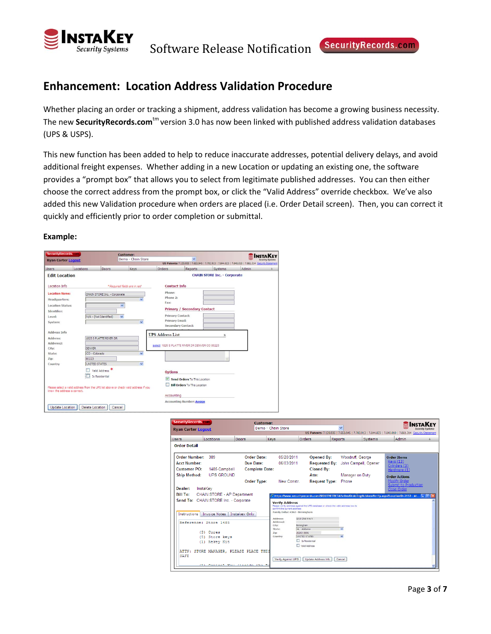

### **Enhancement: Location Address Validation Procedure**

Whether placing an order or tracking a shipment, address validation has become a growing business necessity. The new **SecurityRecords.com**<sup>tm</sup> version 3.0 has now been linked with published address validation databases (UPS & USPS).

This new function has been added to help to reduce inaccurate addresses, potential delivery delays, and avoid additional freight expenses. Whether adding in a new Location or updating an existing one, the software provides a "prompt box" that allows you to select from legitimate published addresses. You can then either choose the correct address from the prompt box, or click the "Valid Address" override checkbox. We've also added this new Validation procedure when orders are placed (i.e. Order Detail screen). Then, you can correct it quickly and efficiently prior to order completion or submittal.

| SecurityRecords.com                                                                                   |                        |                                                        | <b>Customer:</b>                                                                    |                                                     |                                                                                                         |                                                                                                                |       |  |
|-------------------------------------------------------------------------------------------------------|------------------------|--------------------------------------------------------|-------------------------------------------------------------------------------------|-----------------------------------------------------|---------------------------------------------------------------------------------------------------------|----------------------------------------------------------------------------------------------------------------|-------|--|
| <b>Ryan Carter Logout</b>                                                                             |                        |                                                        | Demo - Chain Store                                                                  |                                                     | v                                                                                                       |                                                                                                                |       |  |
| <b>Users</b>                                                                                          | Locations              | Doors                                                  | <b>Keys</b>                                                                         | Orders                                              | Reports                                                                                                 | US Patents: 7.120.935   7.653.945   7.702.913   7.844.823   7.840.010   7.861.314 SecurityStatement<br>Systems | Admin |  |
| <b>Edit Location</b>                                                                                  |                        |                                                        |                                                                                     |                                                     |                                                                                                         | <b>CHAIN STORE Inc. - Corporate</b>                                                                            |       |  |
| Location Info                                                                                         |                        |                                                        | "Required fields are in red                                                         | <b>Contact Info</b>                                 |                                                                                                         |                                                                                                                |       |  |
| <b>Location Name:</b><br>Headquarters:<br><b>Location Status:</b><br>Identifier:<br>Level:<br>System: |                        | CHAIN STORE Inc. - Cornorate<br>N/A - (Not Identified) | $\checkmark$<br>Y<br>$\checkmark$<br>$\checkmark$                                   | Phone:<br>Phone 2:<br>Fax:<br><b>Primary Email:</b> | <b>Primary / Secondary Contact</b><br><b>Primary Contact:</b><br><b>Secondary Contact:</b>              |                                                                                                                |       |  |
| <b>Address Info</b><br><b>Address:</b><br>Address <sub>2:</sub><br>City:                              | <b>DENVER</b>          | 1825 S PLATTE RIVER DR                                 |                                                                                     | <b>UPS Address List</b>                             | select 1825 S PLATTE RIVER DR DENVER CO 80223                                                           | X                                                                                                              |       |  |
| State:<br>Zip:<br>Country                                                                             | CO - Colorado<br>80223 | UNITED STATES<br>Valid Address                         | $\checkmark$<br>$\checkmark$                                                        | <b>Options</b>                                      |                                                                                                         |                                                                                                                |       |  |
| know the address is correct.                                                                          |                        | Is Residential                                         | Please select a valid address from the UPS list above or check valid address if you | $\overline{\mathsf{v}}$<br>Accounting               | Send Orders To This Location<br><b>Bill Orders To This Location</b><br><b>Accounting Number: Assign</b> |                                                                                                                |       |  |
| Update Location                                                                                       | Delete Location        | Cancel                                                 |                                                                                     |                                                     |                                                                                                         |                                                                                                                |       |  |

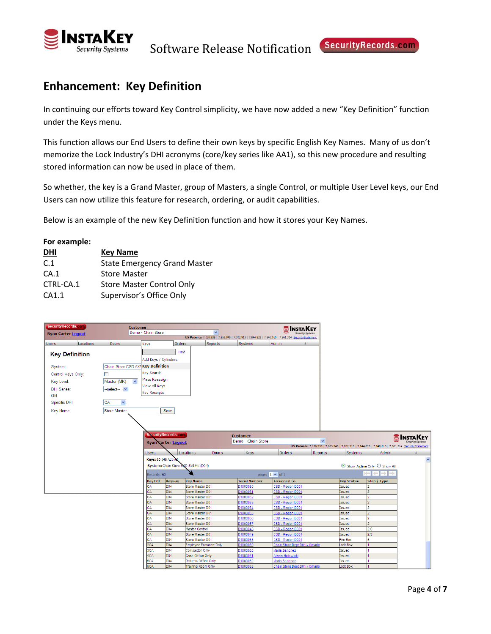

### **Enhancement: Key Definition**

In continuing our efforts toward Key Control simplicity, we have now added a new "Key Definition" function under the Keys menu.

This function allows our End Users to define their own keys by specific English Key Names. Many of us don't memorize the Lock Industry's DHI acronyms (core/key series like AA1), so this new procedure and resulting stored information can now be used in place of them.

So whether, the key is a Grand Master, group of Masters, a single Control, or multiple User Level keys, our End Users can now utilize this feature for research, ordering, or audit capabilities.

Below is an example of the new Key Definition function and how it stores your Key Names.

| For example: |                                     |
|--------------|-------------------------------------|
| <u>DHI</u>   | <b>Key Name</b>                     |
| C.1          | <b>State Emergency Grand Master</b> |
| CA.1         | <b>Store Master</b>                 |
| CTRL-CA.1    | <b>Store Master Control Only</b>    |
| CA1.1        | Supervisor's Office Only            |

| SecurityRecords.com       |           | <b>Customer:</b>                   |                      |                           |                                                                                                     |                      | <b>SINSTAKEY</b>                                |              |                   |                                                                                                     |                     |
|---------------------------|-----------|------------------------------------|----------------------|---------------------------|-----------------------------------------------------------------------------------------------------|----------------------|-------------------------------------------------|--------------|-------------------|-----------------------------------------------------------------------------------------------------|---------------------|
| <b>Ryan Carter Logout</b> |           |                                    | Demo - Chain Store   |                           | $\overline{\mathbf{v}}$                                                                             |                      |                                                 |              |                   |                                                                                                     |                     |
|                           |           |                                    |                      |                           | US Patents: 7,120,935   7,653,945   7,702,913   7,844,823   7,840,010   7,861,314 SecurityStatement |                      |                                                 |              |                   |                                                                                                     |                     |
| <b>Users</b>              | Locations | <b>Doors</b>                       | Keys                 | Orders                    | Reports                                                                                             | Systems              | <b>Admin</b>                                    |              |                   |                                                                                                     |                     |
| <b>Key Definition</b>     |           |                                    |                      | Find                      |                                                                                                     |                      |                                                 |              |                   |                                                                                                     |                     |
|                           |           |                                    | Add Keys / Cylinders |                           |                                                                                                     |                      |                                                 |              |                   |                                                                                                     |                     |
| System:                   |           | Chain Store CSD 5X5 Key Definition |                      |                           |                                                                                                     |                      |                                                 |              |                   |                                                                                                     |                     |
| Control Keys Only:        |           | П                                  | Key Search           |                           |                                                                                                     |                      |                                                 |              |                   |                                                                                                     |                     |
|                           |           |                                    | Mass Reassign        |                           |                                                                                                     |                      |                                                 |              |                   |                                                                                                     |                     |
| Key Level:                |           | $\checkmark$<br>Master (MK)        | View All Keys        |                           |                                                                                                     |                      |                                                 |              |                   |                                                                                                     |                     |
| <b>DHI Series:</b>        |           | --select- V                        | <b>Key Receipts</b>  |                           |                                                                                                     |                      |                                                 |              |                   |                                                                                                     |                     |
| OR                        |           |                                    |                      |                           |                                                                                                     |                      |                                                 |              |                   |                                                                                                     |                     |
| Specific DHI:             |           | <b>CA</b><br>$\checkmark$          |                      |                           |                                                                                                     |                      |                                                 |              |                   |                                                                                                     |                     |
| Key Name:                 |           | <b>Store Master</b>                |                      | Save                      |                                                                                                     |                      |                                                 |              |                   |                                                                                                     |                     |
|                           |           |                                    |                      |                           |                                                                                                     |                      |                                                 |              |                   |                                                                                                     |                     |
|                           |           |                                    |                      |                           |                                                                                                     |                      |                                                 |              |                   |                                                                                                     |                     |
|                           |           |                                    |                      |                           |                                                                                                     |                      |                                                 |              |                   |                                                                                                     |                     |
|                           |           |                                    |                      | ecurityRecords.com        |                                                                                                     | <b>Customer:</b>     |                                                 |              |                   |                                                                                                     |                     |
|                           |           |                                    |                      | <b>Ryan Carter Logout</b> |                                                                                                     | Demo - Chain Store   |                                                 | $\checkmark$ |                   |                                                                                                     | <b>SINSTAKEY</b>    |
|                           |           |                                    |                      |                           |                                                                                                     |                      |                                                 |              |                   | US Patents: 7,120,935   7,653,945   7,702,913   7,844,823   7,840,010   7,861,314 SecurityStatement |                     |
|                           |           |                                    | <b>Users</b>         |                           | Doors<br>Locations                                                                                  | <b>Keys</b>          | Orders                                          | Reports      | Systems           | Admin                                                                                               |                     |
|                           |           |                                    | Keys: 60 (46 Active) |                           |                                                                                                     |                      |                                                 |              |                   |                                                                                                     | $\hat{\phantom{a}}$ |
|                           |           |                                    |                      |                           | System: Chain Store GSD 5X5 MK (D04)                                                                |                      |                                                 |              |                   | ⊙ Show Active Only ○ Show All                                                                       |                     |
|                           |           |                                    | Records: 60          |                           |                                                                                                     |                      | page: $1 \vee$ of 1                             |              |                   | اد<br>$\leftarrow$<br>$\rightarrow$                                                                 |                     |
|                           |           |                                    | <b>Key DHI</b>       | Keyway                    | <b>Key Name</b>                                                                                     | <b>Serial Number</b> | <b>Assigned To</b>                              |              | <b>Key Status</b> | Step / Type                                                                                         |                     |
|                           |           |                                    | CA                   | D04                       | Store Master D01                                                                                    | D1000050             | CSD - Region D001                               |              | Issued            |                                                                                                     |                     |
|                           |           |                                    | CA                   | D04                       | Store Master D01                                                                                    | D1000051             | CSD - Region D001                               |              | Issued            |                                                                                                     |                     |
|                           |           |                                    | сA                   | D04                       | Store Master D01                                                                                    | 01000052             | SD - Region D001                                |              | Issued            |                                                                                                     |                     |
|                           |           |                                    | CA<br>CA             | D04<br>D04                | Store Master D01                                                                                    | D1000053             | CSD - Region D001                               |              | Issued            |                                                                                                     |                     |
|                           |           |                                    | CA                   | D04                       | Store Master D01<br>Store Master D01                                                                | D1000054<br>D1000055 | CSD - Region D001<br>CSD - Region D001          |              | Issued<br>Issued  |                                                                                                     |                     |
|                           |           |                                    | lcA                  | D04                       | Store Master D01                                                                                    | D1000056             | <b>CSD - Region D001</b>                        |              | Issued            |                                                                                                     |                     |
|                           |           |                                    | CA                   | D04                       | Store Master D01                                                                                    | D1000057             | CSD - Region D001                               |              | <b>Issued</b>     | $\overline{2}$                                                                                      |                     |
|                           |           |                                    | CA                   | D04                       | <b>Master Control</b>                                                                               | D1000048             | CSD - Region D001                               |              | Issued            | 2.C                                                                                                 |                     |
|                           |           |                                    | CA                   | D04                       | Store Master D01                                                                                    | D1000049             | CSD - Region D001                               |              | Issued            | 2.5                                                                                                 |                     |
|                           |           |                                    | CA                   | D04                       | Store Master D01                                                                                    | D1000058             | <b>CSD - Region D001</b>                        |              | Fire Box          |                                                                                                     |                     |
|                           |           |                                    | 2CA                  | D04                       | Employee Entrance Only                                                                              | D1000059             | Chain Store Dept D01 - Ontario                  |              | ock Box           |                                                                                                     |                     |
|                           |           |                                    | 3CA<br>4CA           | D04<br>D04                | Compactor Only                                                                                      | D1000060             | <b>Jaria Sanchez</b>                            |              | Issued            |                                                                                                     |                     |
|                           |           |                                    |                      |                           | Cash Office Only                                                                                    | D1000061             | Alexis Holowicki                                |              | Issued            |                                                                                                     |                     |
|                           |           |                                    |                      |                           |                                                                                                     |                      |                                                 |              |                   |                                                                                                     |                     |
|                           |           |                                    | 5CA<br>6CA           | D04<br>D04                | Returns Office Only<br><b>Training Room Only</b>                                                    | D1000062<br>D1000063 | Maria Sanchez<br>Chain Store Dept D01 - Ontario |              | issued<br>ock Box |                                                                                                     |                     |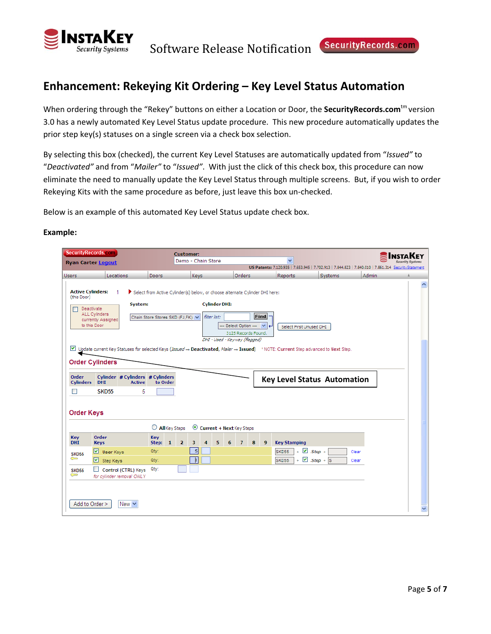

### **Enhancement: Rekeying Kit Ordering – Key Level Status Automation**

When ordering through the "Rekey" buttons on either a Location or Door, the **SecurityRecords.com**tm version 3.0 has a newly automated Key Level Status update procedure. This new procedure automatically updates the prior step key(s) statuses on a single screen via a check box selection.

By selecting this box (checked), the current Key Level Statuses are automatically updated from "*Issued"* to "*Deactivated"* and from "*Mailer"* to "*Issued"*. With just the click of this check box, this procedure can now eliminate the need to manually update the Key Level Status through multiple screens. But, if you wish to order Rekeying Kits with the same procedure as before, just leave this box un‐checked.

Below is an example of this automated Key Level Status update check box.

| <b>SecurityRecords.com</b>              | <b>Ryan Carter Logout</b>                                                                                                                                    | <b>Customer:</b>                                                                                                 | Demo - Chain Store                   |                                                                                | $\overline{\mathbf{v}}$                |                                    |                                                                                                     |  |
|-----------------------------------------|--------------------------------------------------------------------------------------------------------------------------------------------------------------|------------------------------------------------------------------------------------------------------------------|--------------------------------------|--------------------------------------------------------------------------------|----------------------------------------|------------------------------------|-----------------------------------------------------------------------------------------------------|--|
|                                         |                                                                                                                                                              |                                                                                                                  |                                      |                                                                                |                                        |                                    | US Patents: 7,120,935   7,653,945   7,702,913   7,844,823   7,840,010   7,861,314 SecurityStatement |  |
| <b>Users</b>                            | <b>Locations</b>                                                                                                                                             | <b>Doors</b>                                                                                                     | Keys                                 | <b>Orders</b>                                                                  | <b>Reports</b>                         | Systems                            | <b>Admin</b>                                                                                        |  |
| <b>Active Cylinders:</b><br>(this Door) | 1<br>System:<br>Deactivate<br>ALL Cylinders                                                                                                                  | Select from Active Cylinder(s) below, or choose alternate Cylinder DHI here:<br>Chain Store Stores SKD (FJ,FK) V | <b>Cylinder DHI:</b><br>filter list: | <b>Find</b>                                                                    |                                        |                                    |                                                                                                     |  |
|                                         | currently Assigned<br>to this Door                                                                                                                           |                                                                                                                  |                                      | -- Select Option --- V<br>3125 Records Found.<br>DHI - Used - Keyway (flagged) | Select First Unused DHI                |                                    |                                                                                                     |  |
|                                         | Update current Key Statuses for selected Keys (Issued -> Deactivated, Mailer -> Issued) *NOTE: Current Step advanced to Next Step.<br><b>Order Cylinders</b> |                                                                                                                  |                                      |                                                                                |                                        |                                    |                                                                                                     |  |
|                                         |                                                                                                                                                              |                                                                                                                  |                                      |                                                                                |                                        |                                    |                                                                                                     |  |
| Order<br><b>Cylinders</b>               | Cylinder # Cylinders # Cylinders<br><b>DHI</b><br><b>Active</b>                                                                                              | to Order                                                                                                         |                                      |                                                                                |                                        | <b>Key Level Status Automation</b> |                                                                                                     |  |
| ш                                       | <b>SKD55</b>                                                                                                                                                 | 5                                                                                                                |                                      |                                                                                |                                        |                                    |                                                                                                     |  |
| <b>Order Keys</b>                       |                                                                                                                                                              |                                                                                                                  |                                      |                                                                                |                                        |                                    |                                                                                                     |  |
|                                         |                                                                                                                                                              | $\bigcirc$ All Key Steps                                                                                         | Current + Next Key Steps             |                                                                                |                                        |                                    |                                                                                                     |  |
| <b>Key</b><br><b>DHI</b>                | Order<br><b>Keys</b>                                                                                                                                         | <b>Key</b><br>Step: 1<br>$\overline{\mathbf{2}}$                                                                 | 5<br>6<br>з<br>4                     | $\overline{7}$<br>8<br>9                                                       | <b>Key Stamping</b>                    |                                    |                                                                                                     |  |
| <b>SKD55</b>                            | User Keys                                                                                                                                                    | Qty:                                                                                                             | $\vert$                              |                                                                                | $\vee$ .Step +<br>SKD55                | Clear                              |                                                                                                     |  |
| ๛                                       | ⊡<br>Step Keys                                                                                                                                               | Qty:                                                                                                             | h                                    |                                                                                | $+ \nightharpoonup$ .Step + S<br>SKD55 | Clear                              |                                                                                                     |  |
| <b>SKD55</b><br>౼                       | Control (CTRL) Keys<br>for cylinder removal ONLY                                                                                                             | Qty:                                                                                                             |                                      |                                                                                |                                        |                                    |                                                                                                     |  |
|                                         |                                                                                                                                                              |                                                                                                                  |                                      |                                                                                |                                        |                                    |                                                                                                     |  |
| Add to Order >                          | New $\vee$                                                                                                                                                   |                                                                                                                  |                                      |                                                                                |                                        |                                    |                                                                                                     |  |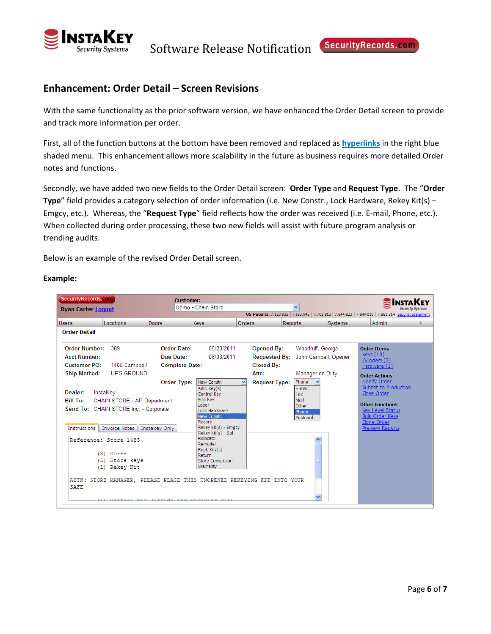

Software Release Notification Security Records.com

### **Enhancement: Order Detail – Screen Revisions**

With the same functionality as the prior software version, we have enhanced the Order Detail screen to provide and track more information per order.

First, all of the function buttons at the bottom have been removed and replaced as **hyperlinks** in the right blue shaded menu. This enhancement allows more scalability in the future as business requires more detailed Order notes and functions.

Secondly, we have added two new fields to the Order Detail screen: **Order Type** and **Request Type**. The "**Order Type**" field provides a category selection of order information (i.e. New Constr., Lock Hardware, Rekey Kit(s) – Emgcy, etc.). Whereas, the "**Request Type**" field reflects how the order was received (i.e. E‐mail, Phone, etc.). When collected during order processing, these two new fields will assist with future program analysis or trending audits.

Below is an example of the revised Order Detail screen.

| SecurityRecords.com                                                                                                                                                                                                                             |                                                                                                                               | <b>Customer:</b>      |                                                                                                                                                                                                                                                 |               |                      |         |                                                                         |         |                                                                                                                                                                      |  |
|-------------------------------------------------------------------------------------------------------------------------------------------------------------------------------------------------------------------------------------------------|-------------------------------------------------------------------------------------------------------------------------------|-----------------------|-------------------------------------------------------------------------------------------------------------------------------------------------------------------------------------------------------------------------------------------------|---------------|----------------------|---------|-------------------------------------------------------------------------|---------|----------------------------------------------------------------------------------------------------------------------------------------------------------------------|--|
| <b>Ryan Carter Logout</b>                                                                                                                                                                                                                       |                                                                                                                               |                       | Demo - Chain Store                                                                                                                                                                                                                              |               |                      |         | $\checkmark$                                                            |         | <b>Security Systems</b>                                                                                                                                              |  |
|                                                                                                                                                                                                                                                 |                                                                                                                               |                       |                                                                                                                                                                                                                                                 |               |                      |         |                                                                         |         | US Patents: 7,120,935   7,653,945   7,702,913   7,844,823   7,840,010   7,861,314 SecurityStatement                                                                  |  |
| <b>Users</b><br><b>Locations</b>                                                                                                                                                                                                                | Doors                                                                                                                         |                       | Keys                                                                                                                                                                                                                                            | <b>Orders</b> |                      | Reports |                                                                         | Systems | Admin                                                                                                                                                                |  |
| <b>Order Detail</b>                                                                                                                                                                                                                             |                                                                                                                               |                       |                                                                                                                                                                                                                                                 |               |                      |         |                                                                         |         |                                                                                                                                                                      |  |
| <b>Order Number:</b><br>389                                                                                                                                                                                                                     |                                                                                                                               | <b>Order Date:</b>    | 05/20/2011                                                                                                                                                                                                                                      |               | <b>Opened By:</b>    |         | Woodruff, George                                                        |         | <b>Order Items</b>                                                                                                                                                   |  |
| <b>Acct Number:</b>                                                                                                                                                                                                                             |                                                                                                                               | Due Date:             | 06/03/2011                                                                                                                                                                                                                                      |               | <b>Requested By:</b> |         | John Campell, Opener                                                    |         | <b>Keys</b> (13)<br>Cylinders (3)                                                                                                                                    |  |
| <b>Customer PO:</b>                                                                                                                                                                                                                             | 1485-Campbell                                                                                                                 | <b>Complete Date:</b> |                                                                                                                                                                                                                                                 |               | <b>Closed By:</b>    |         |                                                                         |         | Hardware (1)                                                                                                                                                         |  |
| <b>Ship Method:</b>                                                                                                                                                                                                                             | UPS GROUND                                                                                                                    |                       |                                                                                                                                                                                                                                                 |               | Attn:                |         | Manager on Duty                                                         |         | <b>Order Actions</b>                                                                                                                                                 |  |
| Dealer:<br>InstaKev<br><b>Bill To:</b><br>Send To: CHAIN STORE Inc. - Corporate<br>Instructions<br>Reference: Store 1485<br>(3) Cores<br>(1) Rekey Kit<br>ATTN: STORE MANAGER, PLEASE PLACE THIS UNOPENED REKEYING KIT INTO YOUR<br><b>SAFE</b> | CHAIN STORE - AP Department<br>Invoice Notes<br>Instakey Only<br>(5) Store keys<br>(1) Control Van (inside the Delection Vit) | Order Type:           | New Constr.<br>Add. Key(s)<br>Control Key<br>Fire Key<br>Labor<br>Lock Hardware<br>New Constr.<br>Recore<br>Rekey Kit(s) - Emgcy<br>Rekey Kit(s) - Std.<br>Relocate<br>Remodel<br>Repl. Key(s)<br>Return<br><b>Store Conversion</b><br>Warranty |               | <b>Request Type:</b> |         | Phone<br> ⊽<br>E-mail<br>Fax<br>Mail<br>Other<br>Phone<br>Postcard<br>v |         | Modify Order<br>Submit to Production<br>Close Order<br><b>Other Functions</b><br><b>Key Level Status</b><br><b>Bulk Order Keys</b><br>Clone Order<br>Preview Reports |  |